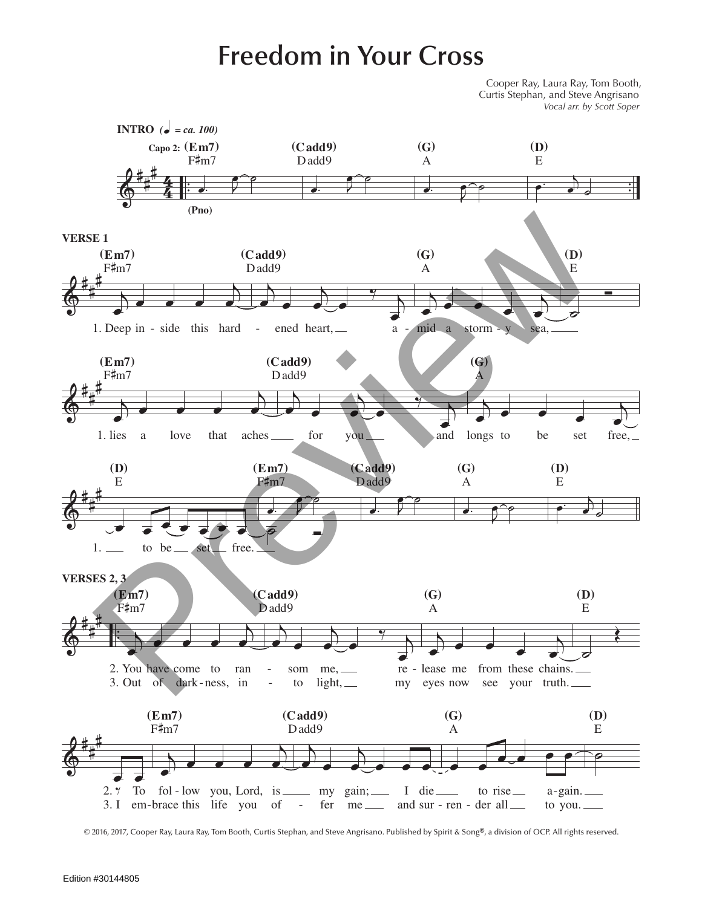## **Freedom in Your Cross**

Cooper Ray, Laura Ray, Tom Booth, Curtis Stephan, and Steve Angrisano *Vocal arr. by Scott Soper*



<sup>© 2016, 2017,</sup> Cooper Ray, Laura Ray, Tom Booth, Curtis Stephan, and Steve Angrisano. Published by Spirit & Song®, a division of OCP. All rights reserved.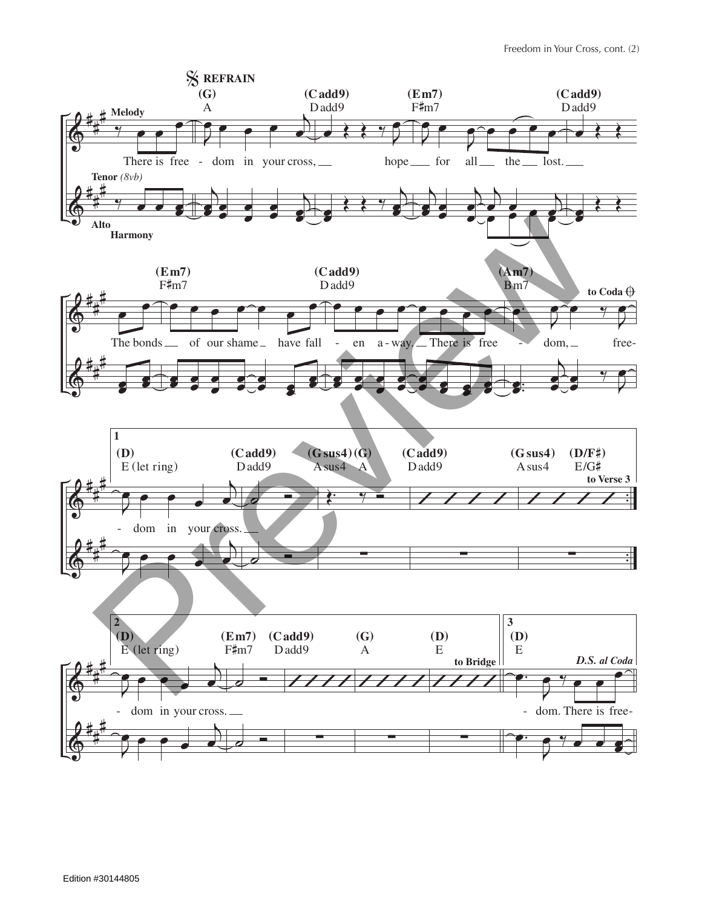